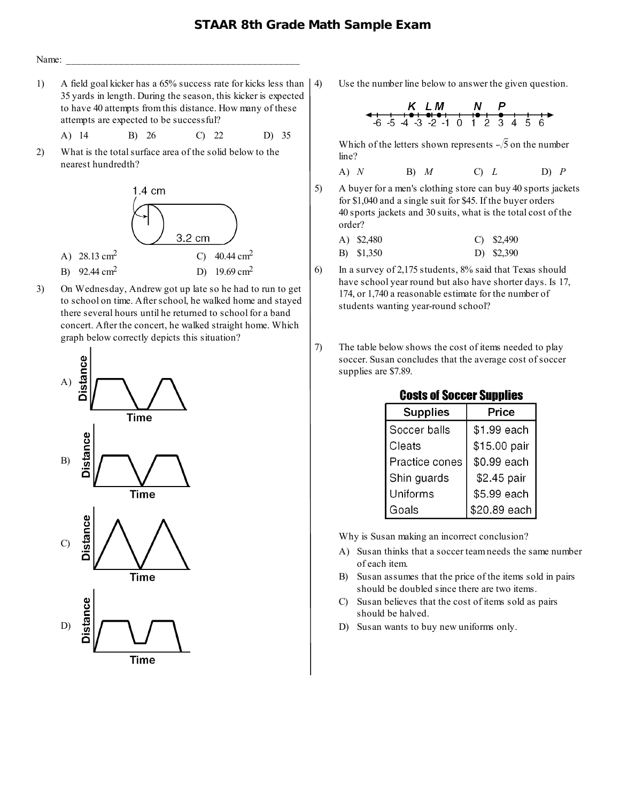## **STAAR 8th Grade Math Sample Exam**



1) A field goal kicker has a 65% success rate for kicks less than 35 yards in length. During the season, this kicker is expected to have 40 attempts from this distance. How many of these attempts are expected to be successful?

A) 14 B) 26 C) 22 D) 35

2) What is the total surface area of the solid below to the nearest hundredth?



3) On Wednesday, Andrew got up late so he had to run to get to school on time. After school, he walked home and stayed there several hours until he returned to school for a band concert. After the concert, he walked straight home. Which graph below correctly depicts this situation?



4) Use the number line below to answer the given question.

$$
K LM N P
$$
  
-6.5 4 3 2 1 0 1 2 3 4 5 6

Which of the letters shown represents  $\sqrt{5}$  on the number line?

A) 
$$
N
$$
 B)  $M$  C)  $L$  D)  $P$ 

5) A buyer for a men's clothing store can buy 40 sports jackets for \$1,040 and a single suit for \$45. If the buyer orders 40 sports jackets and 30 suits, what is the total cost of the order?

```
A) $2,480
B) $1,350
                             C) $2,490
                             D) $2,390
```
- 6) In a survey of 2,175 students, 8% said that Texas should have school year round but also have shorter days. Is 17, 174, or 1,740 a reasonable estimate for the number of students wanting year-round school?
- 7) The table below shows the cost of items needed to play soccer. Susan concludes that the average cost of soccer supplies are \$7.89.

| <b>Supplies</b> | Price        |  |
|-----------------|--------------|--|
| Soccer balls    | \$1.99 each  |  |
| Cleats          | \$15.00 pair |  |
| Practice cones  | \$0.99 each  |  |
| Shin guards     | \$2.45 pair  |  |
| Uniforms        | \$5.99 each  |  |
| Goals           | \$20.89 each |  |

**Costs of Soccer Supplies** 

Why is Susan making an incorrect conclusion?

- A) Susan thinks that a soccer team needs the same number of each item.
- B) Susan assumes that the price of the items sold in pairs should be doubled since there are two items.
- C) Susan believes that the cost of items sold as pairs should be halved.
- D) Susan wants to buy new uniforms only.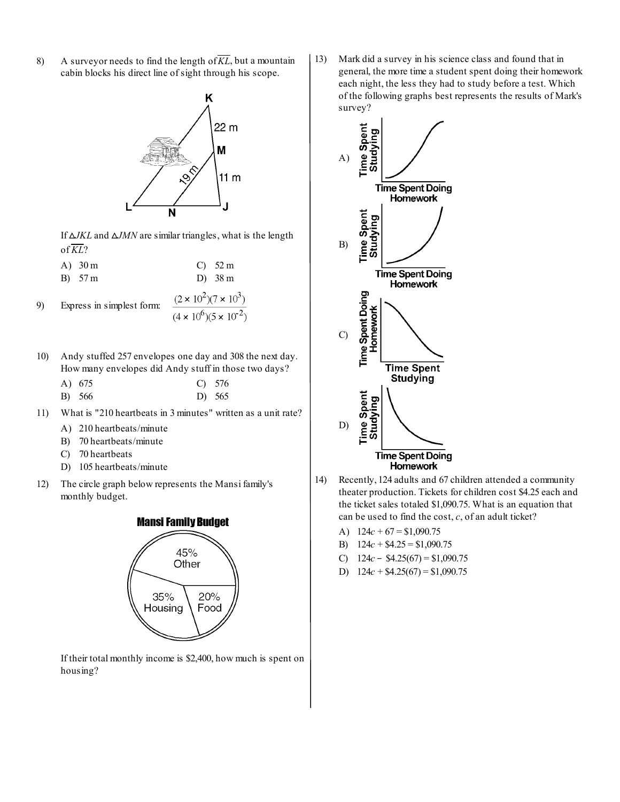8) A surveyor needs to find the length of  $\overline{KL}$ , but a mountain cabin blocks his direct line of sight through his scope.



If  $\Delta$ *JKL* and  $\Delta$ *JMN* are similar triangles, what is the length of  $\overline{KL}$ ?

A) 30 m C) 52 m

B) 
$$
57 \text{ m}
$$
 D)  $38 \text{ m}$ 

9) Express in simplest form: 
$$
\frac{(2 \times 10^2)(7 \times 10^3)}{(4 \times 10^6)(5 \times 10^{-2})}
$$

- 10) Andy stuffed 257 envelopes one day and 308 the next day. How many envelopes did Andy stuff in those two days?
	- A) 675 C) 576
	- B) 566 D) 565
- 11) What is "210 heartbeats in 3 minutes" written as a unit rate?
	- A) 210 heartbeats/minute
	- B) 70 heartbeats/minute
	- C) 70 heartbeats
	- D) 105 heartbeats/minute
- 12) The circle graph below represents the Mansi family's monthly budget.



If their total monthly income is \$2,400, how much is spent on housing?

13) Mark did a survey in his science class and found that in general, the more time a student spent doing their homework each night, the less they had to study before a test. Which of the following graphs best represents the results of Mark's survey?



- 14) Recently, 124 adults and 67 children attended a community theater production. Tickets for children cost \$4.25 each and the ticket sales totaled \$1,090.75. What is an equation that can be used to find the cost, *c*, of an adult ticket?
	- A)  $124c + 67 = $1,090.75$
	- B) 124*c* + \$4.25 = \$1,090.75
	- C)  $124c $4.25(67) = $1,090.75$
	- D)  $124c + $4.25(67) = $1,090.75$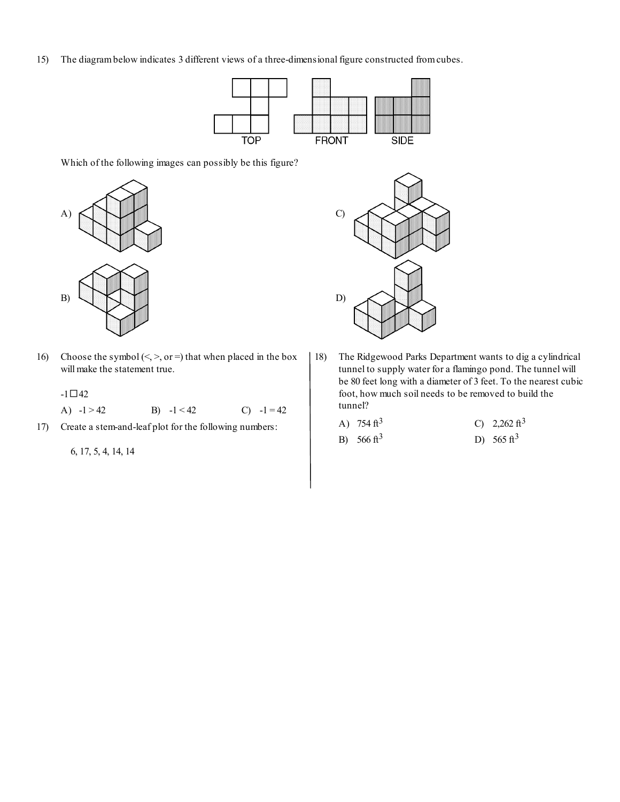15) The diagram below indicates 3 different views of a three-dimensional figure constructed from cubes.



Which of the following images can possibly be this figure?



16) Choose the symbol  $(<, >$ , or =) that when placed in the box will make the statement true.

 $-1 \square 42$ A)  $-1 > 42$  B)  $-1 < 42$  C)  $-1 = 42$ 

17) Create a stem-and-leaf plot for the following numbers:

6, 17, 5, 4, 14, 14



18) The Ridgewood Parks Department wants to dig a cylindrical tunnel to supply water for a flamingo pond. The tunnel will be 80 feet long with a diameter of 3 feet. To the nearest cubic foot, how much soil needs to be removed to build the tunnel?

| A) $754 \text{ ft}^3$  | C) 2,262 ft <sup>3</sup> |
|------------------------|--------------------------|
| B) 566 ft <sup>3</sup> | D) 565 ft <sup>3</sup>   |